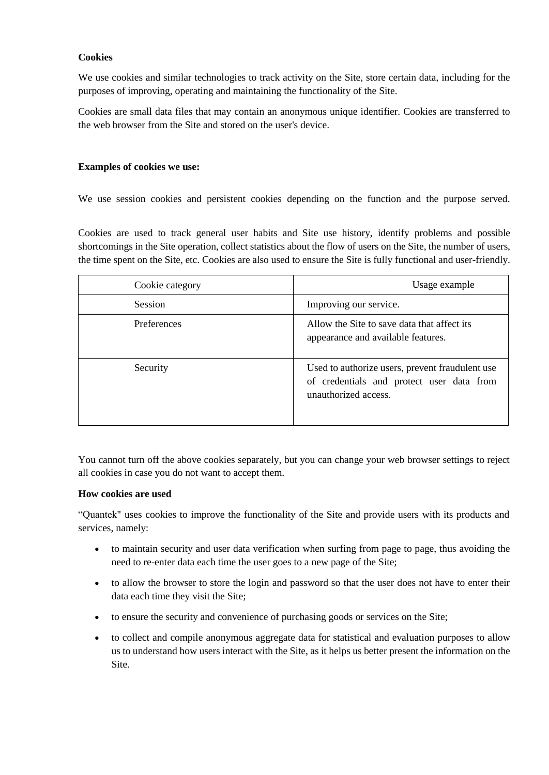## **Cookies**

We use cookies and similar technologies to track activity on the Site, store certain data, including for the purposes of improving, operating and maintaining the functionality of the Site.

Cookies are small data files that may contain an anonymous unique identifier. Cookies are transferred to the web browser from the Site and stored on the user's device.

### **Examples of cookies we use:**

We use session cookies and persistent cookies depending on the function and the purpose served.

Cookies are used to track general user habits and Site use history, identify problems and possible shortcomings in the Site operation, collect statistics about the flow of users on the Site, the number of users, the time spent on the Site, etc. Cookies are also used to ensure the Site is fully functional and user-friendly.

| Cookie category | Usage example                                                                                                        |
|-----------------|----------------------------------------------------------------------------------------------------------------------|
| Session         | Improving our service.                                                                                               |
| Preferences     | Allow the Site to save data that affect its<br>appearance and available features.                                    |
| Security        | Used to authorize users, prevent fraudulent use<br>of credentials and protect user data from<br>unauthorized access. |

You cannot turn off the above cookies separately, but you can change your web browser settings to reject all cookies in case you do not want to accept them.

### **How cookies are used**

"Quantek" uses cookies to improve the functionality of the Site and provide users with its products and services, namely:

- to maintain security and user data verification when surfing from page to page, thus avoiding the need to re-enter data each time the user goes to a new page of the Site;
- to allow the browser to store the login and password so that the user does not have to enter their data each time they visit the Site;
- to ensure the security and convenience of purchasing goods or services on the Site;
- to collect and compile anonymous aggregate data for statistical and evaluation purposes to allow us to understand how users interact with the Site, as it helps us better present the information on the Site.